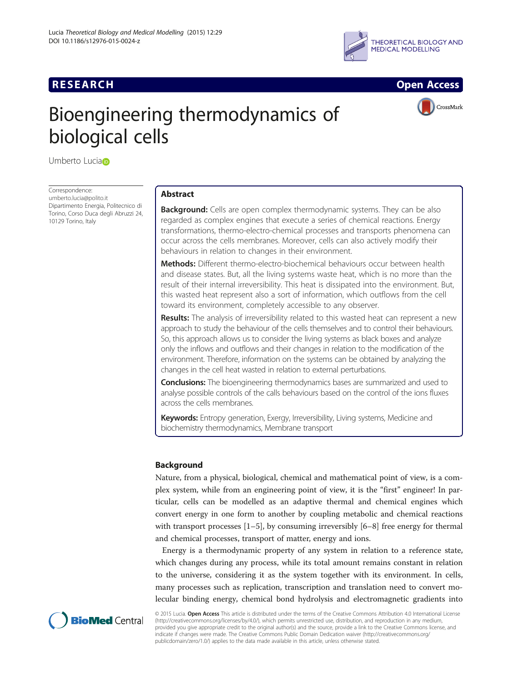



CrossMark

# Bioengineering thermodynamics of biological cells

Umberto Lucia<sub>D</sub>

Correspondence: [umberto.lucia@polito.it](mailto:umberto.lucia@polito.it) Dipartimento Energia, Politecnico di Torino, Corso Duca degli Abruzzi 24, 10129 Torino, Italy

# Abstract

**Background:** Cells are open complex thermodynamic systems. They can be also regarded as complex engines that execute a series of chemical reactions. Energy transformations, thermo-electro-chemical processes and transports phenomena can occur across the cells membranes. Moreover, cells can also actively modify their behaviours in relation to changes in their environment.

Methods: Different thermo-electro-biochemical behaviours occur between health and disease states. But, all the living systems waste heat, which is no more than the result of their internal irreversibility. This heat is dissipated into the environment. But, this wasted heat represent also a sort of information, which outflows from the cell toward its environment, completely accessible to any observer.

**Results:** The analysis of irreversibility related to this wasted heat can represent a new approach to study the behaviour of the cells themselves and to control their behaviours. So, this approach allows us to consider the living systems as black boxes and analyze only the inflows and outflows and their changes in relation to the modification of the environment. Therefore, information on the systems can be obtained by analyzing the changes in the cell heat wasted in relation to external perturbations.

**Conclusions:** The bioengineering thermodynamics bases are summarized and used to analyse possible controls of the calls behaviours based on the control of the ions fluxes across the cells membranes.

**Keywords:** Entropy generation, Exergy, Irreversibility, Living systems, Medicine and biochemistry thermodynamics, Membrane transport

# Background

Nature, from a physical, biological, chemical and mathematical point of view, is a complex system, while from an engineering point of view, it is the "first" engineer! In particular, cells can be modelled as an adaptive thermal and chemical engines which convert energy in one form to another by coupling metabolic and chemical reactions with transport processes  $[1–5]$  $[1–5]$  $[1–5]$  $[1–5]$  $[1–5]$ , by consuming irreversibly  $[6–8]$  $[6–8]$  $[6–8]$  $[6–8]$  free energy for thermal and chemical processes, transport of matter, energy and ions.

Energy is a thermodynamic property of any system in relation to a reference state, which changes during any process, while its total amount remains constant in relation to the universe, considering it as the system together with its environment. In cells, many processes such as replication, transcription and translation need to convert molecular binding energy, chemical bond hydrolysis and electromagnetic gradients into



© 2015 Lucia. Open Access This article is distributed under the terms of the Creative Commons Attribution 4.0 International License [\(http://creativecommons.org/licenses/by/4.0/](http://creativecommons.org/licenses/by/4.0/)), which permits unrestricted use, distribution, and reproduction in any medium, provided you give appropriate credit to the original author(s) and the source, provide a link to the Creative Commons license, and indicate if changes were made. The Creative Commons Public Domain Dedication waiver ([http://creativecommons.org/](http://creativecommons.org/publicdomain/zero/1.0/) [publicdomain/zero/1.0/\)](http://creativecommons.org/publicdomain/zero/1.0/) applies to the data made available in this article, unless otherwise stated.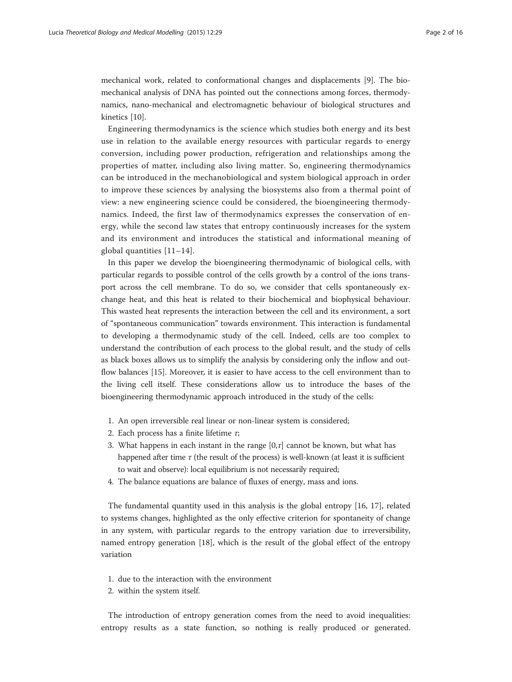mechanical work, related to conformational changes and displacements [[9](#page-15-0)]. The biomechanical analysis of DNA has pointed out the connections among forces, thermodynamics, nano-mechanical and electromagnetic behaviour of biological structures and kinetics [[10\]](#page-15-0).

Engineering thermodynamics is the science which studies both energy and its best use in relation to the available energy resources with particular regards to energy conversion, including power production, refrigeration and relationships among the properties of matter, including also living matter. So, engineering thermodynamics can be introduced in the mechanobiological and system biological approach in order to improve these sciences by analysing the biosystems also from a thermal point of view: a new engineering science could be considered, the bioengineering thermodynamics. Indeed, the first law of thermodynamics expresses the conservation of energy, while the second law states that entropy continuously increases for the system and its environment and introduces the statistical and informational meaning of global quantities [\[11](#page-15-0)–[14\]](#page-15-0).

In this paper we develop the bioengineering thermodynamic of biological cells, with particular regards to possible control of the cells growth by a control of the ions transport across the cell membrane. To do so, we consider that cells spontaneously exchange heat, and this heat is related to their biochemical and biophysical behaviour. This wasted heat represents the interaction between the cell and its environment, a sort of "spontaneous communication" towards environment. This interaction is fundamental to developing a thermodynamic study of the cell. Indeed, cells are too complex to understand the contribution of each process to the global result, and the study of cells as black boxes allows us to simplify the analysis by considering only the inflow and outflow balances [[15\]](#page-15-0). Moreover, it is easier to have access to the cell environment than to the living cell itself. These considerations allow us to introduce the bases of the bioengineering thermodynamic approach introduced in the study of the cells:

- 1. An open irreversible real linear or non-linear system is considered;
- 2. Each process has a finite lifetime  $\tau$ ;
- 3. What happens in each instant in the range  $[0, \tau]$  cannot be known, but what has happened after time  $\tau$  (the result of the process) is well-known (at least it is sufficient to wait and observe): local equilibrium is not necessarily required;
- 4. The balance equations are balance of fluxes of energy, mass and ions.

The fundamental quantity used in this analysis is the global entropy [[16, 17\]](#page-15-0), related to systems changes, highlighted as the only effective criterion for spontaneity of change in any system, with particular regards to the entropy variation due to irreversibility, named entropy generation [\[18](#page-15-0)], which is the result of the global effect of the entropy variation

- 1. due to the interaction with the environment
- 2. within the system itself.

The introduction of entropy generation comes from the need to avoid inequalities: entropy results as a state function, so nothing is really produced or generated.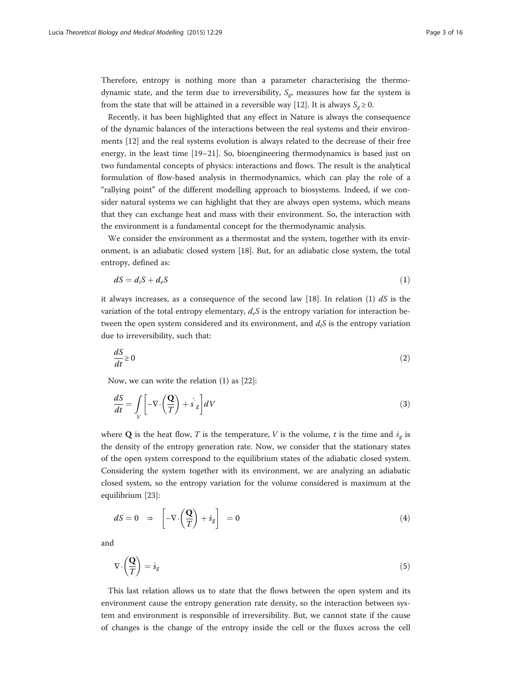Therefore, entropy is nothing more than a parameter characterising the thermodynamic state, and the term due to irreversibility,  $S_{g}$ , measures how far the system is from the state that will be attained in a reversible way [[12\]](#page-15-0). It is always  $S_g \ge 0$ .

Recently, it has been highlighted that any effect in Nature is always the consequence of the dynamic balances of the interactions between the real systems and their environments [[12\]](#page-15-0) and the real systems evolution is always related to the decrease of their free energy, in the least time [[19](#page-15-0)–[21](#page-15-0)]. So, bioengineering thermodynamics is based just on two fundamental concepts of physics: interactions and flows. The result is the analytical formulation of flow-based analysis in thermodynamics, which can play the role of a "rallying point" of the different modelling approach to biosystems. Indeed, if we consider natural systems we can highlight that they are always open systems, which means that they can exchange heat and mass with their environment. So, the interaction with the environment is a fundamental concept for the thermodynamic analysis.

We consider the environment as a thermostat and the system, together with its environment, is an adiabatic closed system [\[18](#page-15-0)]. But, for an adiabatic close system, the total entropy, defined as:

$$
dS = d_i S + d_e S \tag{1}
$$

it always increases, as a consequence of the second law [[18\]](#page-15-0). In relation (1)  $dS$  is the variation of the total entropy elementary,  $d_eS$  is the entropy variation for interaction between the open system considered and its environment, and  $d_iS$  is the entropy variation due to irreversibility, such that:

$$
\frac{dS}{dt} \ge 0\tag{2}
$$

Now, we can write the relation (1) as [[22\]](#page-15-0):

$$
\frac{dS}{dt} = \int\limits_V \left[ -\nabla \cdot \left( \frac{\mathbf{Q}}{T} \right) + \dot{s} \right] dV \tag{3}
$$

where **Q** is the heat flow, T is the temperature, V is the volume, t is the time and  $\dot{s}_{g}$  is the density of the entropy generation rate. Now, we consider that the stationary states of the open system correspond to the equilibrium states of the adiabatic closed system. Considering the system together with its environment, we are analyzing an adiabatic closed system, so the entropy variation for the volume considered is maximum at the equilibrium [\[23](#page-15-0)]:

$$
dS = 0 \Rightarrow \left[ -\nabla \cdot \left( \frac{\mathbf{Q}}{T} \right) + \dot{s}_g \right] = 0 \tag{4}
$$

and

$$
\nabla \cdot \left(\frac{\mathbf{Q}}{T}\right) = \dot{s}_g \tag{5}
$$

This last relation allows us to state that the flows between the open system and its environment cause the entropy generation rate density, so the interaction between system and environment is responsible of irreversibility. But, we cannot state if the cause of changes is the change of the entropy inside the cell or the fluxes across the cell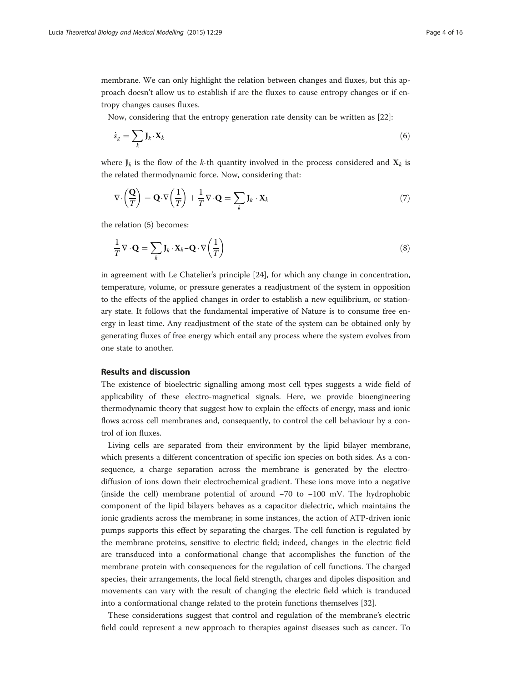membrane. We can only highlight the relation between changes and fluxes, but this approach doesn't allow us to establish if are the fluxes to cause entropy changes or if entropy changes causes fluxes.

Now, considering that the entropy generation rate density can be written as [\[22](#page-15-0)]:

$$
\dot{s}_g = \sum_k \mathbf{J}_k \cdot \mathbf{X}_k \tag{6}
$$

where  $J_k$  is the flow of the k-th quantity involved in the process considered and  $X_k$  is the related thermodynamic force. Now, considering that:

$$
\nabla \cdot \left(\frac{\mathbf{Q}}{T}\right) = \mathbf{Q} \cdot \nabla \left(\frac{1}{T}\right) + \frac{1}{T} \nabla \cdot \mathbf{Q} = \sum_{k} \mathbf{J}_k \cdot \mathbf{X}_k \tag{7}
$$

the relation (5) becomes:

$$
\frac{1}{T}\nabla \cdot \mathbf{Q} = \sum_{k} \mathbf{J}_k \cdot \mathbf{X}_k - \mathbf{Q} \cdot \nabla \left(\frac{1}{T}\right)
$$
\n(8)

in agreement with Le Chatelier's principle [\[24](#page-15-0)], for which any change in concentration, temperature, volume, or pressure generates a readjustment of the system in opposition to the effects of the applied changes in order to establish a new equilibrium, or stationary state. It follows that the fundamental imperative of Nature is to consume free energy in least time. Any readjustment of the state of the system can be obtained only by generating fluxes of free energy which entail any process where the system evolves from one state to another.

## Results and discussion

The existence of bioelectric signalling among most cell types suggests a wide field of applicability of these electro-magnetical signals. Here, we provide bioengineering thermodynamic theory that suggest how to explain the effects of energy, mass and ionic flows across cell membranes and, consequently, to control the cell behaviour by a control of ion fluxes.

Living cells are separated from their environment by the lipid bilayer membrane, which presents a different concentration of specific ion species on both sides. As a consequence, a charge separation across the membrane is generated by the electrodiffusion of ions down their electrochemical gradient. These ions move into a negative (inside the cell) membrane potential of around −70 to −100 mV. The hydrophobic component of the lipid bilayers behaves as a capacitor dielectric, which maintains the ionic gradients across the membrane; in some instances, the action of ATP-driven ionic pumps supports this effect by separating the charges. The cell function is regulated by the membrane proteins, sensitive to electric field; indeed, changes in the electric field are transduced into a conformational change that accomplishes the function of the membrane protein with consequences for the regulation of cell functions. The charged species, their arrangements, the local field strength, charges and dipoles disposition and movements can vary with the result of changing the electric field which is tranduced into a conformational change related to the protein functions themselves [[32\]](#page-15-0).

These considerations suggest that control and regulation of the membrane's electric field could represent a new approach to therapies against diseases such as cancer. To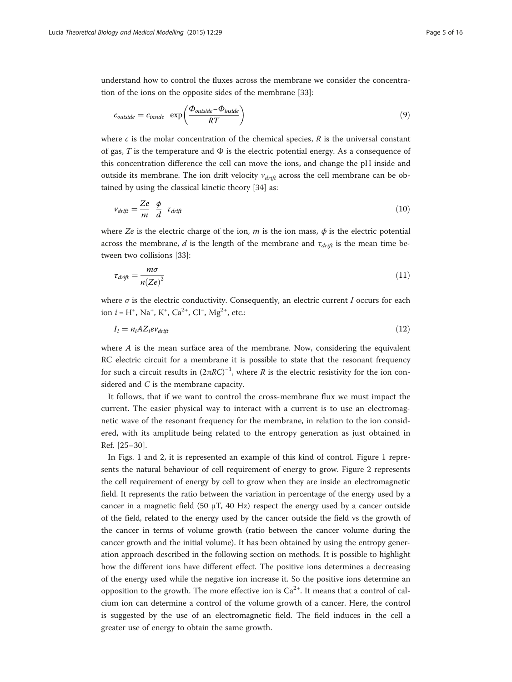understand how to control the fluxes across the membrane we consider the concentration of the ions on the opposite sides of the membrane [[33](#page-15-0)]:

$$
c_{outside} = c_{inside} \exp\left(\frac{\Phi_{outside} - \Phi_{inside}}{RT}\right) \tag{9}
$$

where  $c$  is the molar concentration of the chemical species,  $R$  is the universal constant of gas, T is the temperature and  $\Phi$  is the electric potential energy. As a consequence of this concentration difference the cell can move the ions, and change the pH inside and outside its membrane. The ion drift velocity  $v_{drift}$  across the cell membrane can be obtained by using the classical kinetic theory [\[34](#page-15-0)] as:

$$
v_{drift} = \frac{Ze}{m} \frac{\phi}{d} \tau_{drift} \tag{10}
$$

where Ze is the electric charge of the ion, m is the ion mass,  $\phi$  is the electric potential across the membrane, d is the length of the membrane and  $\tau_{drift}$  is the mean time between two collisions [[33\]](#page-15-0):

$$
\tau_{drift} = \frac{m\sigma}{n(Ze)^2} \tag{11}
$$

where  $\sigma$  is the electric conductivity. Consequently, an electric current I occurs for each ion  $i = H^+$ , Na<sup>+</sup>, K<sup>+</sup>, Ca<sup>2+</sup>, Cl<sup>-</sup>, Mg<sup>2+</sup>, etc.:

$$
I_i = n_i A Z_i e v_{drift} \tag{12}
$$

where  $A$  is the mean surface area of the membrane. Now, considering the equivalent RC electric circuit for a membrane it is possible to state that the resonant frequency for such a circuit results in  $(2πRC)^{-1}$ , where R is the electric resistivity for the ion considered and C is the membrane capacity.

It follows, that if we want to control the cross-membrane flux we must impact the current. The easier physical way to interact with a current is to use an electromagnetic wave of the resonant frequency for the membrane, in relation to the ion considered, with its amplitude being related to the entropy generation as just obtained in Ref. [[25](#page-15-0)–[30\]](#page-15-0).

In Figs. [1](#page-5-0) and [2](#page-5-0), it is represented an example of this kind of control. Figure [1](#page-5-0) represents the natural behaviour of cell requirement of energy to grow. Figure [2](#page-5-0) represents the cell requirement of energy by cell to grow when they are inside an electromagnetic field. It represents the ratio between the variation in percentage of the energy used by a cancer in a magnetic field (50  $\mu$ T, 40 Hz) respect the energy used by a cancer outside of the field, related to the energy used by the cancer outside the field vs the growth of the cancer in terms of volume growth (ratio between the cancer volume during the cancer growth and the initial volume). It has been obtained by using the entropy generation approach described in the following section on methods. It is possible to highlight how the different ions have different effect. The positive ions determines a decreasing of the energy used while the negative ion increase it. So the positive ions determine an opposition to the growth. The more effective ion is  $Ca^{2+}$ . It means that a control of calcium ion can determine a control of the volume growth of a cancer. Here, the control is suggested by the use of an electromagnetic field. The field induces in the cell a greater use of energy to obtain the same growth.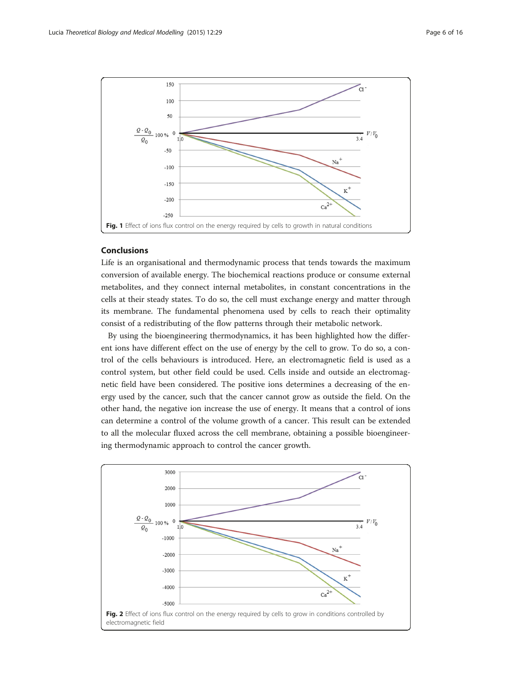<span id="page-5-0"></span>

## Conclusions

Life is an organisational and thermodynamic process that tends towards the maximum conversion of available energy. The biochemical reactions produce or consume external metabolites, and they connect internal metabolites, in constant concentrations in the cells at their steady states. To do so, the cell must exchange energy and matter through its membrane. The fundamental phenomena used by cells to reach their optimality consist of a redistributing of the flow patterns through their metabolic network.

By using the bioengineering thermodynamics, it has been highlighted how the different ions have different effect on the use of energy by the cell to grow. To do so, a control of the cells behaviours is introduced. Here, an electromagnetic field is used as a control system, but other field could be used. Cells inside and outside an electromagnetic field have been considered. The positive ions determines a decreasing of the energy used by the cancer, such that the cancer cannot grow as outside the field. On the other hand, the negative ion increase the use of energy. It means that a control of ions can determine a control of the volume growth of a cancer. This result can be extended to all the molecular fluxed across the cell membrane, obtaining a possible bioengineering thermodynamic approach to control the cancer growth.

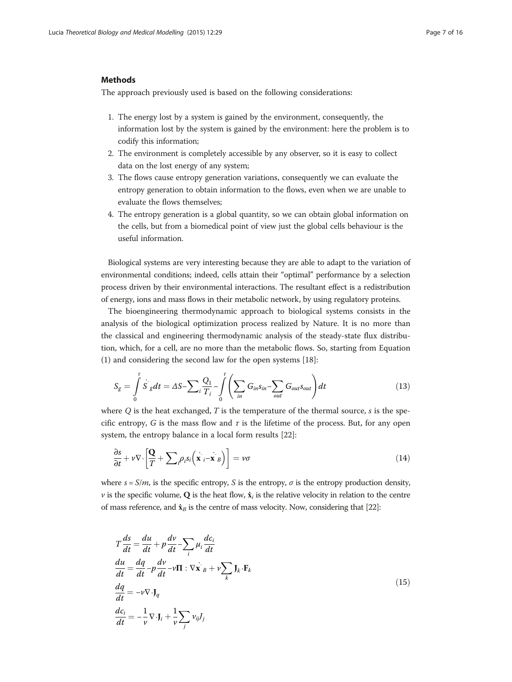## **Methods**

The approach previously used is based on the following considerations:

- 1. The energy lost by a system is gained by the environment, consequently, the information lost by the system is gained by the environment: here the problem is to codify this information;
- 2. The environment is completely accessible by any observer, so it is easy to collect data on the lost energy of any system;
- 3. The flows cause entropy generation variations, consequently we can evaluate the entropy generation to obtain information to the flows, even when we are unable to evaluate the flows themselves;
- 4. The entropy generation is a global quantity, so we can obtain global information on the cells, but from a biomedical point of view just the global cells behaviour is the useful information.

Biological systems are very interesting because they are able to adapt to the variation of environmental conditions; indeed, cells attain their "optimal" performance by a selection process driven by their environmental interactions. The resultant effect is a redistribution of energy, ions and mass flows in their metabolic network, by using regulatory proteins.

The bioengineering thermodynamic approach to biological systems consists in the analysis of the biological optimization process realized by Nature. It is no more than the classical and engineering thermodynamic analysis of the steady-state flux distribution, which, for a cell, are no more than the metabolic flows. So, starting from Equation (1) and considering the second law for the open systems [[18\]](#page-15-0):

$$
S_g = \int_0^t \dot{S}_g dt = \Delta S - \sum_i \frac{Q_1}{T_i} - \int_0^t \left( \sum_{in} G_{in} S_{in} - \sum_{out} G_{out} S_{out} \right) dt \tag{13}
$$

where  $Q$  is the heat exchanged,  $T$  is the temperature of the thermal source,  $s$  is the specific entropy, G is the mass flow and  $\tau$  is the lifetime of the process. But, for any open system, the entropy balance in a local form results [\[22\]](#page-15-0):

$$
\frac{\partial s}{\partial t} + v \nabla \cdot \left[ \frac{\mathbf{Q}}{T} + \sum_{i} \rho_{i} s_{i} \left( \mathbf{x}_{i} - \mathbf{x}_{B} \right) \right] = v \sigma
$$
\n(14)

where  $s = S/m$ , is the specific entropy, S is the entropy,  $\sigma$  is the entropy production density,  $\nu$  is the specific volume, Q is the heat flow,  $\dot{\mathbf{x}}_i$  is the relative velocity in relation to the centre of mass reference, and  $\dot{\mathbf{x}}_B$  is the centre of mass velocity. Now, considering that [[22](#page-15-0)]:

$$
T\frac{ds}{dt} = \frac{du}{dt} + p\frac{dv}{dt} - \sum_{i} \mu_{i} \frac{dc_{i}}{dt}
$$
  
\n
$$
\frac{du}{dt} = \frac{dq}{dt} - p\frac{dv}{dt} - \nu \Pi : \nabla \dot{\mathbf{x}}_{B} + \nu \sum_{k} \mathbf{J}_{k} \cdot \mathbf{F}_{k}
$$
  
\n
$$
\frac{dq}{dt} = -\nu \nabla \cdot \mathbf{J}_{q}
$$
  
\n
$$
\frac{dc_{i}}{dt} = -\frac{1}{\nu} \nabla \cdot \mathbf{J}_{i} + \frac{1}{\nu} \sum_{j} \nu_{ij} J_{j}
$$
\n(15)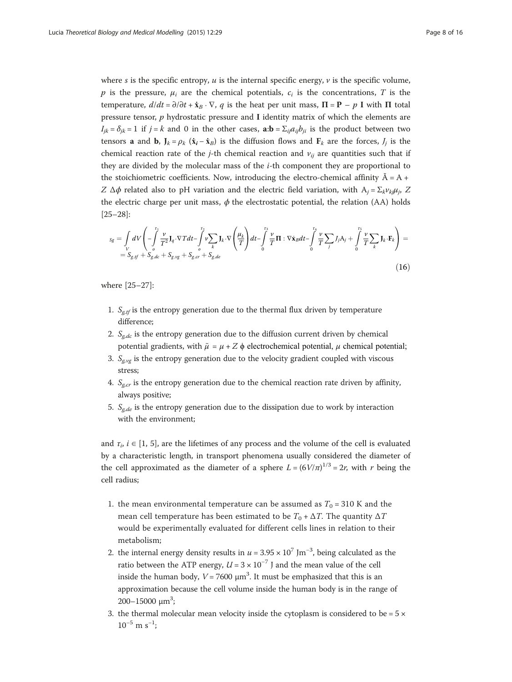where s is the specific entropy,  $u$  is the internal specific energy,  $v$  is the specific volume, p is the pressure,  $\mu_i$  are the chemical potentials,  $c_i$  is the concentrations, T is the temperature,  $d/dt = \partial/\partial t + \dot{x}_B \cdot \nabla$ , q is the heat per unit mass,  $\Pi = \mathbf{P} - p \mathbf{I}$  with  $\Pi$  total pressure tensor,  $p$  hydrostatic pressure and I identity matrix of which the elements are  $I_{jk} = \delta_{jk} = 1$  if  $j = k$  and 0 in the other cases,  $\mathbf{a:b} = \sum_{ij} a_{ij} b_{ji}$  is the product between two tensors **a** and **b**,  $J_k = \rho_k$  ( $\dot{\mathbf{x}}_i - \dot{\mathbf{x}}_B$ ) is the diffusion flows and  $\mathbf{F}_k$  are the forces,  $J_j$  is the chemical reaction rate of the j-th chemical reaction and  $v_{ij}$  are quantities such that if they are divided by the molecular mass of the i-th component they are proportional to the stoichiometric coefficients. Now, introducing the electro-chemical affinity  $\tilde{A} = A +$ Z  $\Delta \phi$  related also to pH variation and the electric field variation, with  $A_i = \sum_k v_{ki} \mu_i$ , Z the electric charge per unit mass,  $\phi$  the electrostatic potential, the relation (AA) holds [[25](#page-15-0)–[28](#page-15-0)]:

$$
s_{g} = \int_{V} dV \left( -\int_{0}^{T_{1}} \frac{\nu}{T^{2}} J_{q} \cdot \nabla T dt - \int_{0}^{T_{2}} \nu \sum_{k} J_{k} \cdot \nabla \left( \frac{\mu_{k}}{T} \right) dt - \int_{0}^{T_{3}} \frac{\nu}{T} \Pi : \nabla \dot{\mathbf{x}}_{B} dt - \int_{0}^{T_{4}} \frac{\nu}{T} \sum_{j} J_{j} A_{j} + \int_{0}^{T_{5}} \frac{\nu}{T} \sum_{k} J_{k} \cdot \mathbf{F}_{k} \right) =
$$
  
= S\_{g,tf} + S\_{g,dc} + S\_{g,vg} + S\_{g,cr} + S\_{g,de} \tag{16}

where [\[25](#page-15-0)–[27\]](#page-15-0):

- 1.  $S_{g,t}$  is the entropy generation due to the thermal flux driven by temperature difference;
- 2.  $S_{\sigma,dc}$  is the entropy generation due to the diffusion current driven by chemical potential gradients, with  $\tilde{\mu} = \mu + Z \phi$  electrochemical potential, *μ* chemical potential;
- 3.  $S_{\text{g}v\text{g}}$  is the entropy generation due to the velocity gradient coupled with viscous stress;
- 4.  $S_{g,cr}$  is the entropy generation due to the chemical reaction rate driven by affinity, always positive;
- 5.  $S_{\sigma,de}$  is the entropy generation due to the dissipation due to work by interaction with the environment;

and  $\tau_i$ ,  $i \in [1, 5]$  $i \in [1, 5]$ , are the lifetimes of any process and the volume of the cell is evaluated by a characteristic length, in transport phenomena usually considered the diameter of the cell approximated as the diameter of a sphere  $L = (6V/\pi)^{1/3} = 2r$ , with r being the cell radius;

- 1. the mean environmental temperature can be assumed as  $T_0 = 310$  K and the mean cell temperature has been estimated to be  $T_0 + \Delta T$ . The quantity  $\Delta T$ would be experimentally evaluated for different cells lines in relation to their metabolism;
- 2. the internal energy density results in  $u = 3.95 \times 10^7$  Jm<sup>-3</sup>, being calculated as the ratio between the ATP energy,  $U = 3 \times 10^{-7}$  J and the mean value of the cell inside the human body,  $V = 7600 \mu m^3$ . It must be emphasized that this is an approximation because the cell volume inside the human body is in the range of 200-15000  $μm<sup>3</sup>$ ;
- 3. the thermal molecular mean velocity inside the cytoplasm is considered to be  $= 5 \times$  $10^{-5}$  m s<sup>-1</sup>;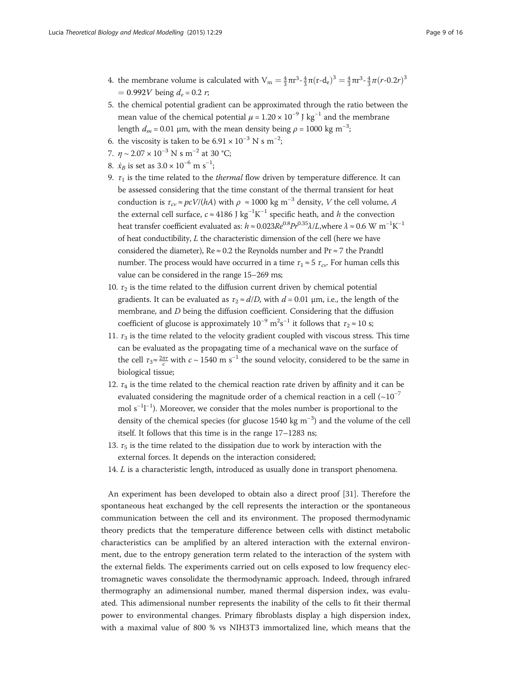- 4. the membrane volume is calculated with  $V_m = \frac{4}{3} \pi r^3 \frac{4}{3} \pi (r d_e)^3 = \frac{4}{3} \pi r^3 \frac{4}{3} \pi (r 0.2r)^3$  $= 0.992V$  being  $d_e = 0.2 r$ ;
- 5. the chemical potential gradient can be approximated through the ratio between the mean value of the chemical potential  $\mu = 1.20 \times 10^{-9}$  J kg<sup>-1</sup> and the membrane length  $d_m$  = 0.01 µm, with the mean density being  $\rho$  = 1000 kg m<sup>-3</sup>;
- 6. the viscosity is taken to be  $6.91 \times 10^{-3}$  N s m<sup>-2</sup>;
- 7.  $n \sim 2.07 \times 10^{-3}$  N s m<sup>-2</sup> at 30 °C;
- 8.  $\dot{x}_B$  is set as  $3.0 \times 10^{-6}$  m s<sup>-1</sup>;
- 9.  $\tau_1$  is the time related to the *thermal* flow driven by temperature difference. It can be assessed considering that the time constant of the thermal transient for heat conduction is  $\tau_{cv} \approx pcV/(hA)$  with  $\rho \approx 1000$  kg m<sup>-3</sup> density, V the cell volume, A the external cell surface,  $c \approx 4186$  J kg<sup>-1</sup>K<sup>-1</sup> specific heath, and h the convection heat transfer coefficient evaluated as:  $h \approx 0.023 Re^{0.8} Pr^{0.35} \lambda/L,$  where  $\lambda \approx 0.6 \text{ W m}^{-1} \text{K}^{-1}$ of heat conductibility, L the characteristic dimension of the cell (here we have considered the diameter), Re  $\approx$  0.2 the Reynolds number and Pr  $\approx$  7 the Prandtl number. The process would have occurred in a time  $\tau_1 \approx 5 \tau_{cv}$ . For human cells this value can be considered in the range 15–269 ms;
- 10.  $\tau_2$  is the time related to the diffusion current driven by chemical potential gradients. It can be evaluated as  $\tau_2 \approx d/D$ , with  $d = 0.01$  µm, i.e., the length of the membrane, and D being the diffusion coefficient. Considering that the diffusion coefficient of glucose is approximately  $10^{-9}$  m<sup>2</sup>s<sup>-1</sup> it follows that  $\tau_2 \approx 10$  s;
- 11.  $\tau_3$  is the time related to the velocity gradient coupled with viscous stress. This time can be evaluated as the propagating time of a mechanical wave on the surface of the cell  $\tau_3 \approx \frac{2\pi r}{c}$  with  $c \sim 1540$  m s<sup>-1</sup> the sound velocity, considered to be the same in biological tissue;
- 12.  $\tau_4$  is the time related to the chemical reaction rate driven by affinity and it can be evaluated considering the magnitude order of a chemical reaction in a cell  $({\sim}10^{-7}$ mol s<sup>-1</sup>1<sup>-1</sup>). Moreover, we consider that the moles number is proportional to the density of the chemical species (for glucose 1540 kg  $m^{-3}$ ) and the volume of the cell itself. It follows that this time is in the range 17–1283 ns;
- 13.  $\tau_5$  is the time related to the dissipation due to work by interaction with the external forces. It depends on the interaction considered;
- 14. L is a characteristic length, introduced as usually done in transport phenomena.

An experiment has been developed to obtain also a direct proof [[31\]](#page-15-0). Therefore the spontaneous heat exchanged by the cell represents the interaction or the spontaneous communication between the cell and its environment. The proposed thermodynamic theory predicts that the temperature difference between cells with distinct metabolic characteristics can be amplified by an altered interaction with the external environment, due to the entropy generation term related to the interaction of the system with the external fields. The experiments carried out on cells exposed to low frequency electromagnetic waves consolidate the thermodynamic approach. Indeed, through infrared thermography an adimensional number, maned thermal dispersion index, was evaluated. This adimensional number represents the inability of the cells to fit their thermal power to environmental changes. Primary fibroblasts display a high dispersion index, with a maximal value of 800 % vs NIH3T3 immortalized line, which means that the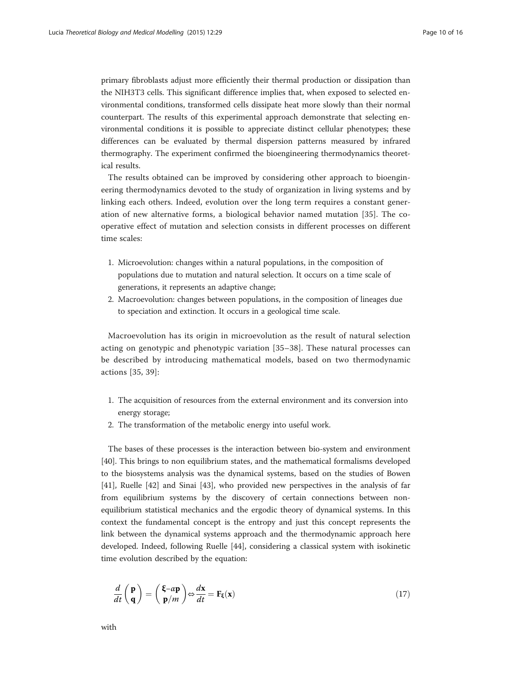primary fibroblasts adjust more efficiently their thermal production or dissipation than the NIH3T3 cells. This significant difference implies that, when exposed to selected environmental conditions, transformed cells dissipate heat more slowly than their normal counterpart. The results of this experimental approach demonstrate that selecting environmental conditions it is possible to appreciate distinct cellular phenotypes; these differences can be evaluated by thermal dispersion patterns measured by infrared thermography. The experiment confirmed the bioengineering thermodynamics theoretical results.

The results obtained can be improved by considering other approach to bioengineering thermodynamics devoted to the study of organization in living systems and by linking each others. Indeed, evolution over the long term requires a constant generation of new alternative forms, a biological behavior named mutation [\[35](#page-15-0)]. The cooperative effect of mutation and selection consists in different processes on different time scales:

- 1. Microevolution: changes within a natural populations, in the composition of populations due to mutation and natural selection. It occurs on a time scale of generations, it represents an adaptive change;
- 2. Macroevolution: changes between populations, in the composition of lineages due to speciation and extinction. It occurs in a geological time scale.

Macroevolution has its origin in microevolution as the result of natural selection acting on genotypic and phenotypic variation [[35](#page-15-0)–[38](#page-15-0)]. These natural processes can be described by introducing mathematical models, based on two thermodynamic actions [[35](#page-15-0), [39\]](#page-15-0):

- 1. The acquisition of resources from the external environment and its conversion into energy storage;
- 2. The transformation of the metabolic energy into useful work.

The bases of these processes is the interaction between bio-system and environment [[40\]](#page-15-0). This brings to non equilibrium states, and the mathematical formalisms developed to the biosystems analysis was the dynamical systems, based on the studies of Bowen [[41\]](#page-15-0), Ruelle [\[42](#page-15-0)] and Sinai [[43](#page-15-0)], who provided new perspectives in the analysis of far from equilibrium systems by the discovery of certain connections between nonequilibrium statistical mechanics and the ergodic theory of dynamical systems. In this context the fundamental concept is the entropy and just this concept represents the link between the dynamical systems approach and the thermodynamic approach here developed. Indeed, following Ruelle [[44](#page-15-0)], considering a classical system with isokinetic time evolution described by the equation:

$$
\frac{d}{dt}\begin{pmatrix} \mathbf{p} \\ \mathbf{q} \end{pmatrix} = \begin{pmatrix} \mathbf{\xi} - a\mathbf{p} \\ \mathbf{p}/m \end{pmatrix} \Leftrightarrow \frac{d\mathbf{x}}{dt} = \mathbf{F}_{\xi}(\mathbf{x})
$$
\n(17)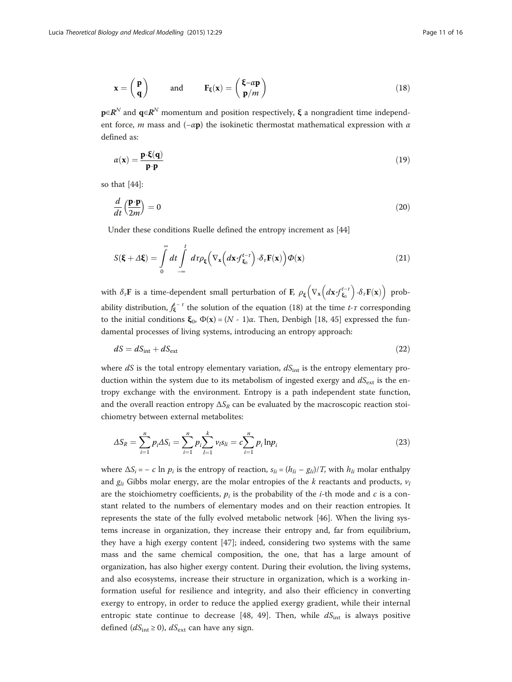$$
\mathbf{x} = \begin{pmatrix} \mathbf{p} \\ \mathbf{q} \end{pmatrix} \quad \text{and} \quad \mathbf{F}_{\xi}(\mathbf{x}) = \begin{pmatrix} \xi - \alpha \mathbf{p} \\ \mathbf{p}/m \end{pmatrix} \tag{18}
$$

 $\mathbf{p} \in \mathbb{R}^N$  and  $\mathbf{q} \in \mathbb{R}^N$  momentum and position respectively,  $\xi$  a nongradient time independent force, *m* mass and  $(-\alpha \mathbf{p})$  the isokinetic thermostat mathematical expression with  $\alpha$ defined as:

$$
\alpha(\mathbf{x}) = \frac{\mathbf{p} \cdot \xi(\mathbf{q})}{\mathbf{p} \cdot \mathbf{p}} \tag{19}
$$

so that [[44](#page-15-0)]:

$$
\frac{d}{dt}\left(\frac{\mathbf{p}\cdot\mathbf{p}}{2m}\right) = 0\tag{20}
$$

Under these conditions Ruelle defined the entropy increment as [[44](#page-15-0)]

$$
S(\mathbf{\xi} + \Delta \mathbf{\xi}) = \int_{0}^{\infty} dt \int_{-\infty}^{t} d\tau \rho_{\xi} \left( \nabla_{\mathbf{x}} \left( d\mathbf{x} \cdot f_{\xi_{0}}^{t-\tau} \right) \cdot \delta_{\tau} \mathbf{F}(\mathbf{x}) \right) \varPhi(\mathbf{x}) \tag{21}
$$

with  $\delta_{\tau} \mathbf{F}$  is a time-dependent small perturbation of **F**,  $\rho_{\xi} \Big( \nabla_{\mathbf{x}} \Big( d\mathbf{x} \cdot f_{\xi_0}^{t-\tau} \Big) \cdot \delta_{\tau} \mathbf{F}(\mathbf{x}) \Big)$  probability distribution,  $f_{\xi}^{t-\tau}$  the solution of the equation (18) at the time t- $\tau$  corresponding to the initial conditions  $\mathbf{\xi}_0$ ,  $\Phi(\mathbf{x}) = (N - 1)\alpha$ . Then, Denbigh [\[18](#page-15-0), [45](#page-15-0)] expressed the fundamental processes of living systems, introducing an entropy approach:

$$
dS = dS_{\text{int}} + dS_{\text{ext}} \tag{22}
$$

where  $dS$  is the total entropy elementary variation,  $dS<sub>int</sub>$  is the entropy elementary production within the system due to its metabolism of ingested exergy and  $dS_{ext}$  is the entropy exchange with the environment. Entropy is a path independent state function, and the overall reaction entropy  $\Delta S_R$  can be evaluated by the macroscopic reaction stoichiometry between external metabolites:

$$
\Delta S_R = \sum_{i=1}^n p_i \Delta S_i = \sum_{i=1}^n p_i \sum_{l=1}^k \nu_l s_{li} = c \sum_{i=1}^n p_i \ln p_i \tag{23}
$$

where  $\Delta S_i = -c \ln p_i$  is the entropy of reaction,  $s_{li} = (h_{li} - g_{li})/T$ , with  $h_{li}$  molar enthalpy and  $g_{li}$  Gibbs molar energy, are the molar entropies of the k reactants and products,  $v_l$ are the stoichiometry coefficients,  $p_i$  is the probability of the *i*-th mode and *c* is a constant related to the numbers of elementary modes and on their reaction entropies. It represents the state of the fully evolved metabolic network [\[46](#page-15-0)]. When the living systems increase in organization, they increase their entropy and, far from equilibrium, they have a high exergy content [\[47\]](#page-15-0); indeed, considering two systems with the same mass and the same chemical composition, the one, that has a large amount of organization, has also higher exergy content. During their evolution, the living systems, and also ecosystems, increase their structure in organization, which is a working information useful for resilience and integrity, and also their efficiency in converting exergy to entropy, in order to reduce the applied exergy gradient, while their internal entropic state continue to decrease [\[48](#page-15-0), [49\]](#page-15-0). Then, while  $dS<sub>int</sub>$  is always positive defined ( $dS_{\text{int}} \ge 0$ ),  $dS_{\text{ext}}$  can have any sign.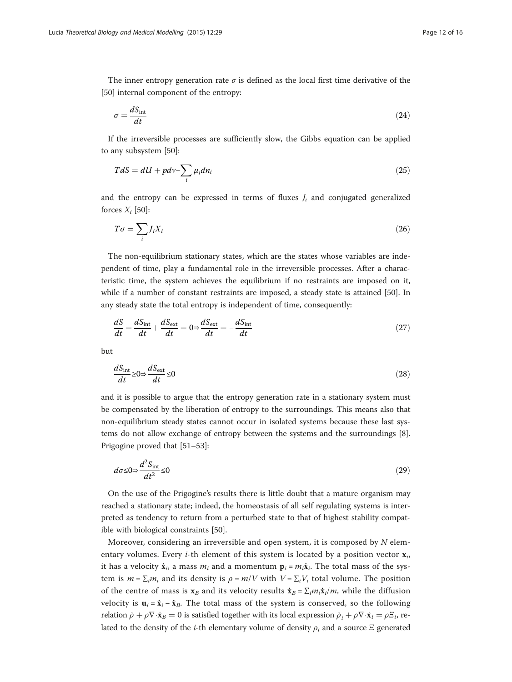The inner entropy generation rate  $\sigma$  is defined as the local first time derivative of the [[50\]](#page-15-0) internal component of the entropy:

$$
\sigma = \frac{dS_{\text{int}}}{dt} \tag{24}
$$

If the irreversible processes are sufficiently slow, the Gibbs equation can be applied to any subsystem [\[50\]](#page-15-0):

$$
TdS = dU + pdv - \sum_{i} \mu_i dn_i
$$
\n(25)

and the entropy can be expressed in terms of fluxes  $J_i$  and conjugated generalized forces  $X_i$  [\[50](#page-15-0)]:

$$
T\sigma = \sum_{i} J_i X_i \tag{26}
$$

The non-equilibrium stationary states, which are the states whose variables are independent of time, play a fundamental role in the irreversible processes. After a characteristic time, the system achieves the equilibrium if no restraints are imposed on it, while if a number of constant restraints are imposed, a steady state is attained [\[50](#page-15-0)]. In any steady state the total entropy is independent of time, consequently:

$$
\frac{dS}{dt} = \frac{dS_{\text{int}}}{dt} + \frac{dS_{\text{ext}}}{dt} = 0 \Rightarrow \frac{dS_{\text{ext}}}{dt} = -\frac{dS_{\text{int}}}{dt}
$$
(27)

but

$$
\frac{dS_{\text{int}}}{dt} \ge 0 \Rightarrow \frac{dS_{\text{ext}}}{dt} \le 0\tag{28}
$$

and it is possible to argue that the entropy generation rate in a stationary system must be compensated by the liberation of entropy to the surroundings. This means also that non-equilibrium steady states cannot occur in isolated systems because these last systems do not allow exchange of entropy between the systems and the surroundings [\[8](#page-14-0)]. Prigogine proved that [\[51](#page-15-0)–[53\]](#page-15-0):

$$
d\sigma \le 0 \Rightarrow \frac{d^2 S_{\text{int}}}{dt^2} \le 0\tag{29}
$$

On the use of the Prigogine's results there is little doubt that a mature organism may reached a stationary state; indeed, the homeostasis of all self regulating systems is interpreted as tendency to return from a perturbed state to that of highest stability compatible with biological constraints [\[50\]](#page-15-0).

Moreover, considering an irreversible and open system, it is composed by  $N$  elementary volumes. Every *i*-th element of this system is located by a position vector  $\mathbf{x}_i$ , it has a velocity  $\dot{\mathbf{x}}_i$ , a mass  $m_i$  and a momentum  $\mathbf{p}_i = m_i\dot{\mathbf{x}}_i$ . The total mass of the system is  $m = \sum_i m_i$  and its density is  $\rho = m/V$  with  $V = \sum_i V_i$  total volume. The position of the centre of mass is  $\mathbf{x}_B$  and its velocity results  $\dot{\mathbf{x}}_B = \sum_i m_i \dot{\mathbf{x}}_i/m$ , while the diffusion velocity is  $\mathbf{u}_i = \dot{\mathbf{x}}_i - \dot{\mathbf{x}}_B$ . The total mass of the system is conserved, so the following relation  $\dot{\rho} + \rho \nabla \cdot \dot{\mathbf{x}}_B = 0$  is satisfied together with its local expression  $\dot{\rho}_i + \rho \nabla \cdot \dot{\mathbf{x}}_i = \rho \Sigma_i$ , related to the density of the *i*-th elementary volume of density  $\rho_i$  and a source  $\Xi$  generated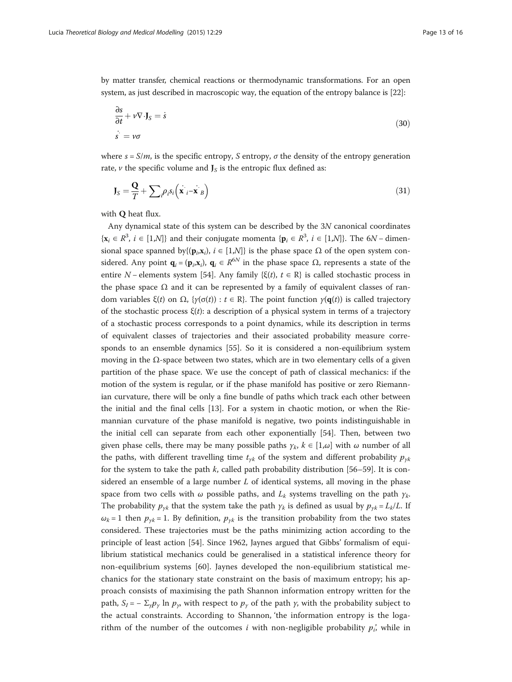by matter transfer, chemical reactions or thermodynamic transformations. For an open system, as just described in macroscopic way, the equation of the entropy balance is [\[22\]](#page-15-0):

$$
\frac{\partial s}{\partial t} + v \nabla \cdot \mathbf{J}_S = \dot{s}
$$
  
\n
$$
\dot{s} = v\sigma
$$
\n(30)

where  $s = S/m$ , is the specific entropy, S entropy,  $\sigma$  the density of the entropy generation rate,  $\nu$  the specific volume and  $J_S$  is the entropic flux defined as:

$$
\mathbf{J}_S = \frac{\mathbf{Q}}{T} + \sum_{i} \rho_i s_i \left( \mathbf{x} \cdot \mathbf{x} \cdot \mathbf{z} \right)
$$
 (31)

with Q heat flux.

Any dynamical state of this system can be described by the 3N canonical coordinates  $\{x_i \in \mathbb{R}^3, i \in [1,\mathcal{N}]\}\$  and their conjugate momenta  $\{\mathbf{p}_i \in \mathbb{R}^3, i \in [1,\mathcal{N}]\}\$ . The 6N – dimensional space spanned by $\{(\mathbf{p}_i, \mathbf{x}_i), i \in [1, N]\}$  is the phase space  $\Omega$  of the open system considered. Any point  $\mathbf{q}_i = (\mathbf{p}_i, \mathbf{x}_i)$ ,  $\mathbf{q}_i \in R^{6N}$  in the phase space  $\Omega$ , represents a state of the entire N – elements system [\[54\]](#page-15-0). Any family { $\xi(t)$ ,  $t \in \mathbb{R}$ } is called stochastic process in the phase space  $\Omega$  and it can be represented by a family of equivalent classes of random variables ξ(t) on Ω, { $\gamma(\sigma(t)) : t \in \mathbb{R}$ . The point function  $\gamma(\mathbf{q}(t))$  is called trajectory of the stochastic process  $\xi(t)$ : a description of a physical system in terms of a trajectory of a stochastic process corresponds to a point dynamics, while its description in terms of equivalent classes of trajectories and their associated probability measure corresponds to an ensemble dynamics [\[55\]](#page-15-0). So it is considered a non-equilibrium system moving in the  $Ω$ -space between two states, which are in two elementary cells of a given partition of the phase space. We use the concept of path of classical mechanics: if the motion of the system is regular, or if the phase manifold has positive or zero Riemannian curvature, there will be only a fine bundle of paths which track each other between the initial and the final cells [\[13](#page-15-0)]. For a system in chaotic motion, or when the Riemannian curvature of the phase manifold is negative, two points indistinguishable in the initial cell can separate from each other exponentially [[54](#page-15-0)]. Then, between two given phase cells, there may be many possible paths  $\gamma_k$ ,  $k \in [1,\omega]$  with  $\omega$  number of all the paths, with different travelling time  $t_{yk}$  of the system and different probability  $p_{yk}$ for the system to take the path  $k$ , called path probability distribution [\[56](#page-15-0)–[59\]](#page-15-0). It is considered an ensemble of a large number  $L$  of identical systems, all moving in the phase space from two cells with  $\omega$  possible paths, and  $L_k$  systems travelling on the path  $\gamma_k$ . The probability  $p_{\gamma k}$  that the system take the path  $\gamma_k$  is defined as usual by  $p_{\gamma k} = L_k/L$ . If  $\omega_k = 1$  then  $p_{\gamma k} = 1$ . By definition,  $p_{\gamma k}$  is the transition probability from the two states considered. These trajectories must be the paths minimizing action according to the principle of least action [\[54](#page-15-0)]. Since 1962, Jaynes argued that Gibbs' formalism of equilibrium statistical mechanics could be generalised in a statistical inference theory for non-equilibrium systems [\[60](#page-15-0)]. Jaynes developed the non-equilibrium statistical mechanics for the stationary state constraint on the basis of maximum entropy; his approach consists of maximising the path Shannon information entropy written for the path,  $S_I = -\sum_{\gamma} p_{\gamma} \ln p_{\gamma}$ , with respect to  $p_{\gamma}$  of the path  $\gamma$ , with the probability subject to the actual constraints. According to Shannon, 'the information entropy is the logarithm of the number of the outcomes i with non-negligible probability  $p_i'$ , while in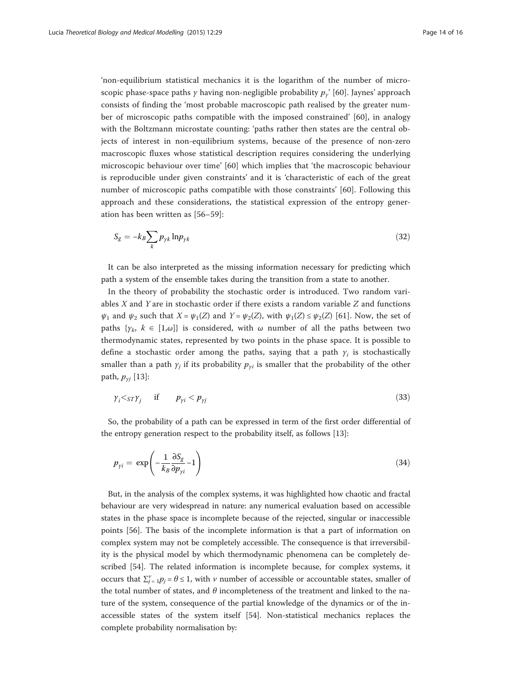'non-equilibrium statistical mechanics it is the logarithm of the number of microscopic phase-space paths *γ* having non-negligible probability  $p_y'$  [\[60](#page-15-0)]. Jaynes' approach consists of finding the 'most probable macroscopic path realised by the greater number of microscopic paths compatible with the imposed constrained' [\[60](#page-15-0)], in analogy with the Boltzmann microstate counting: 'paths rather then states are the central objects of interest in non-equilibrium systems, because of the presence of non-zero macroscopic fluxes whose statistical description requires considering the underlying microscopic behaviour over time' [[60\]](#page-15-0) which implies that 'the macroscopic behaviour is reproducible under given constraints' and it is 'characteristic of each of the great number of microscopic paths compatible with those constraints' [[60\]](#page-15-0). Following this approach and these considerations, the statistical expression of the entropy generation has been written as [[56](#page-15-0)–[59\]](#page-15-0):

$$
S_g = -k_B \sum_k p_{\gamma k} \ln p_{\gamma k} \tag{32}
$$

It can be also interpreted as the missing information necessary for predicting which path a system of the ensemble takes during the transition from a state to another.

In the theory of probability the stochastic order is introduced. Two random variables  $X$  and  $Y$  are in stochastic order if there exists a random variable  $Z$  and functions  $\psi_1$  and  $\psi_2$  such that  $X = \psi_1(Z)$  and  $Y = \psi_2(Z)$ , with  $\psi_1(Z) \leq \psi_2(Z)$  [[61\]](#page-15-0). Now, the set of paths  $\{y_k, k \in [1,\omega]\}$  is considered, with  $\omega$  number of all the paths between two thermodynamic states, represented by two points in the phase space. It is possible to define a stochastic order among the paths, saying that a path  $y_i$  is stochastically smaller than a path  $\gamma_i$  if its probability  $p_{\gamma i}$  is smaller that the probability of the other path,  $p_{\gamma j}$  [\[13](#page-15-0)]:

$$
\gamma_i \langle s_T \gamma_j \quad \text{if} \quad p_{\gamma i} \langle p_{\gamma j} \rangle \tag{33}
$$

So, the probability of a path can be expressed in term of the first order differential of the entropy generation respect to the probability itself, as follows [[13](#page-15-0)]:

$$
p_{yi} = \exp\left(-\frac{1}{k_B} \frac{\partial S_g}{\partial p_{yi}} - 1\right) \tag{34}
$$

But, in the analysis of the complex systems, it was highlighted how chaotic and fractal behaviour are very widespread in nature: any numerical evaluation based on accessible states in the phase space is incomplete because of the rejected, singular or inaccessible points [\[56\]](#page-15-0). The basis of the incomplete information is that a part of information on complex system may not be completely accessible. The consequence is that irreversibility is the physical model by which thermodynamic phenomena can be completely described [\[54](#page-15-0)]. The related information is incomplete because, for complex systems, it occurs that  $\sum_{j=1}^{v} p_j = \theta \le 1$ , with v number of accessible or accountable states, smaller of the total number of states, and  $\theta$  incompleteness of the treatment and linked to the nature of the system, consequence of the partial knowledge of the dynamics or of the inaccessible states of the system itself [\[54\]](#page-15-0). Non-statistical mechanics replaces the complete probability normalisation by: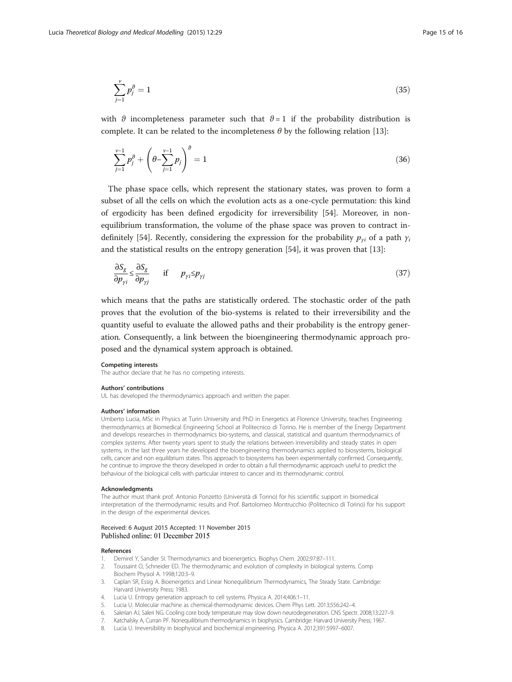<span id="page-14-0"></span>
$$
\sum_{j=1}^{v} p_j^{\theta} = 1 \tag{35}
$$

with  $\theta$  incompleteness parameter such that  $\theta = 1$  if the probability distribution is complete. It can be related to the incompleteness  $\theta$  by the following relation [[13\]](#page-15-0):

$$
\sum_{j=1}^{\nu-1} p_j^{\vartheta} + \left(\theta - \sum_{j=1}^{\nu-1} p_j\right)^{\vartheta} = 1
$$
\n(36)

The phase space cells, which represent the stationary states, was proven to form a subset of all the cells on which the evolution acts as a one-cycle permutation: this kind of ergodicity has been defined ergodicity for irreversibility [\[54](#page-15-0)]. Moreover, in nonequilibrium transformation, the volume of the phase space was proven to contract in-definitely [[54\]](#page-15-0). Recently, considering the expression for the probability  $p_{vi}$  of a path  $\gamma_i$ and the statistical results on the entropy generation [\[54\]](#page-15-0), it was proven that [\[13](#page-15-0)]:

$$
\frac{\partial S_g}{\partial p_{\gamma i}} \le \frac{\partial S_g}{\partial p_{\gamma j}} \quad \text{if} \quad p_{\gamma i} \le p_{\gamma j} \tag{37}
$$

which means that the paths are statistically ordered. The stochastic order of the path proves that the evolution of the bio-systems is related to their irreversibility and the quantity useful to evaluate the allowed paths and their probability is the entropy generation. Consequently, a link between the bioengineering thermodynamic approach proposed and the dynamical system approach is obtained.

#### Competing interests

The author declare that he has no competing interests.

#### Authors' contributions

UL has developed the thermodynamics approach and written the paper.

#### Authors' information

Umberto Lucia, MSc in Physics at Turin University and PhD in Energetics at Florence University, teaches Engineering thermodynamics at Biomedical Engineering School at Politecnico di Torino. He is member of the Energy Department and develops researches in thermodynamics bio-systems, and classical, statistical and quantum thermodynamics of complex systems. After twenty years spent to study the relations between irreversibility and steady states in open systems, in the last three years he developed the bioengineering thermodynamics applied to biosystems, biological cells, cancer and non equilibrium states. This approach to biosystems has been experimentally confirmed. Consequently, he continue to improve the theory developed in order to obtain a full thermodynamic approach useful to predict the behaviour of the biological cells with particular interest to cancer and its thermodynamic control.

#### Acknowledgments

The author must thank prof. Antonio Ponzetto (Università di Torino) for his scientific support in biomedical interpretation of the thermodynamic results and Prof. Bartolomeo Montrucchio (Politecnico di Torino) for his support in the design of the experimental devices.

### Received: 6 August 2015 Accepted: 11 November 2015 Published online: 01 December 2015

#### References

- 1. Demirel Y, Sandler SI. Thermodynamics and bioenergetics. Biophys Chem. 2002;97:87–111.
- 2. Toussaint O, Schneider ED. The thermodynamic and evolution of complexity in biological systems. Comp Biochem Physiol A. 1998;120:3–9.
- 3. Caplan SR, Essig A. Bioenergetics and Linear Nonequilibrium Thermodynamics, The Steady State. Cambridge: Harvard University Press; 1983.
- 4. Lucia U. Entropy generation approach to cell systems. Physica A. 2014;406:1–11.
- 5. Lucia U. Molecular machine as chemical-thermodynamic devices. Chem Phys Lett. 2013;556:242–4.
- 6. Salerian AJ, Saleri NG. Cooling core body temperature may slow down neurodegeneration. CNS Spectr. 2008;13:227–9.
- 7. Katchalsky A, Curran PF. Nonequilibrium thermodynamics in biophysics. Cambridge: Harvard University Press; 1967.
- 8. Lucia U. Irreversibility in biophysical and biochemical engineering. Physica A. 2012;391:5997–6007.